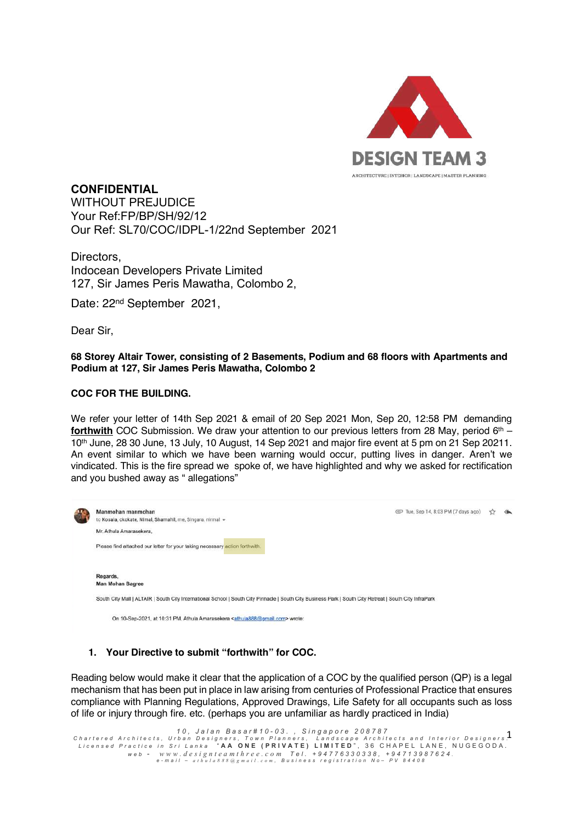

**CONFIDENTIAL** WITHOUT PREJUDICE Your Ref:FP/BP/SH/92/12 Our Ref: SL70/COC/IDPL-1/22nd September 2021

Directors, Indocean Developers Private Limited 127, Sir James Peris Mawatha, Colombo 2,

Date: 22<sup>nd</sup> September 2021,

Dear Sir,

# **68 Storey Altair Tower, consisting of 2 Basements, Podium and 68 floors with Apartments and Podium at 127, Sir James Peris Mawatha, Colombo 2**

## **COC FOR THE BUILDING.**

We refer your letter of 14th Sep 2021 & email of 20 Sep 2021 Mon, Sep 20, 12:58 PM demanding **forthwith** COC Submission. We draw your attention to our previous letters from 28 May, period 6<sup>th</sup> – 10th June, 28 30 June, 13 July, 10 August, 14 Sep 2021 and major fire event at 5 pm on 21 Sep 20211. An event similar to which we have been warning would occur, putting lives in danger. Aren't we vindicated. This is the fire spread we spoke of, we have highlighted and why we asked for rectification and you bushed away as " allegations"



# **1. Your Directive to submit "forthwith" for COC.**

Reading below would make it clear that the application of a COC by the qualified person (QP) is a legal mechanism that has been put in place in law arising from centuries of Professional Practice that ensures compliance with Planning Regulations, Approved Drawings, Life Safety for all occupants such as loss of life or injury through fire. etc. (perhaps you are unfamiliar as hardly practiced in India)

```
10, Jalan Basar#10-03. , Singapore 208787<br>Chartered Architects, Urban Designers, Town Planners, Landscape Architects and Interior Designers.<br>Licensed Practice in Sri Lanka "AA ONE (PRIVATE) LIMITED", 36 CHAPEL LANE, NUGE
                         web - www.designteamthree.com Tel. +94776330338, +94713987624 . 
e - mail – athula888@gmail.com , Business registration No – PV 84408
                                                                                                                                                                                                            1
```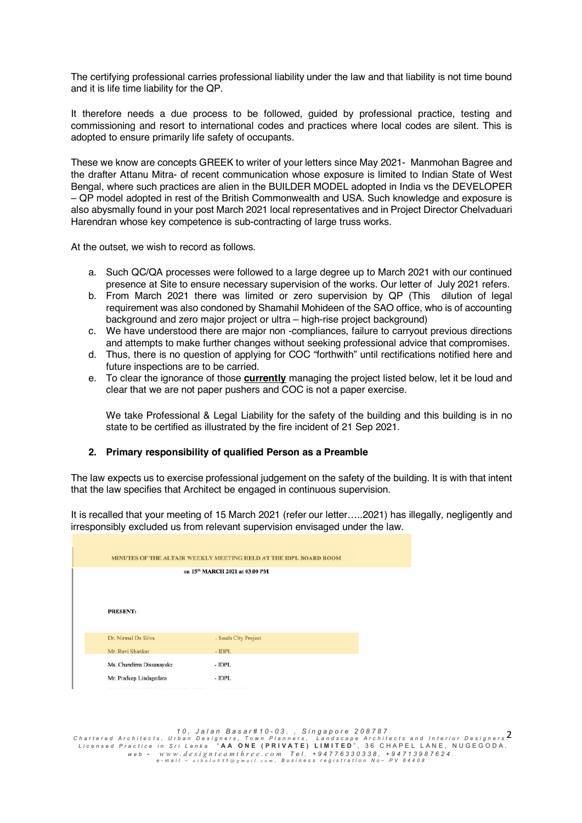The certifying professional carries professional liability under the law and that liability is not time bound and it is life time liability for the QP.

It therefore needs a due process to be followed, guided by professional practice, testing and commissioning and resort to international codes and practices where local codes are silent. This is adopted to ensure primarily life safety of occupants.

These we know are concepts GREEK to writer of your letters since May 2021- Manmohan Bagree and the drafter Attanu Mitra- of recent communication whose exposure is limited to Indian State of West Bengal, where such practices are alien in the BUILDER MODEL adopted in India vs the DEVELOPER – QP model adopted in rest of the British Commonwealth and USA. Such knowledge and exposure is also abysmally found in your post March 2021 local representatives and in Project Director Chelvaduari Harendran whose key competence is sub-contracting of large truss works.

At the outset, we wish to record as follows.

- a. Such QC/QA processes were followed to a large degree up to March 2021 with our continued presence at Site to ensure necessary supervision of the works. Our letter of July 2021 refers.
- b. From March 2021 there was limited or zero supervision by QP (This dilution of legal requirement was also condoned by Shamahil Mohideen of the SAO office, who is of accounting background and zero major project or ultra – high-rise project background)
- c. We have understood there are major non -compliances, failure to carryout previous directions and attempts to make further changes without seeking professional advice that compromises.
- d. Thus, there is no question of applying for COC "forthwith" until rectifications notified here and future inspections are to be carried.
- e. To clear the ignorance of those **currently** managing the project listed below, let it be loud and clear that we are not paper pushers and COC is not a paper exercise.

We take Professional & Legal Liability for the safety of the building and this building is in no state to be certified as illustrated by the fire incident of 21 Sep 2021.

#### **2. Primary responsibility of qualified Person as a Preamble**

The law expects us to exercise professional judgement on the safety of the building. It is with that intent that the law specifies that Architect be engaged in continuous supervision.

It is recalled that your meeting of 15 March 2021 (refer our letter.....2021) has illegally, negligently and irresponsibly excluded us from relevant supervision envisaged under the law.

| MINUTES OF THE ALTAIR WEEKLY MEETING HELD AT THE IDPL BOARD ROOM<br>on 15th MARCH 2021 at 03.00 PM |                      |
|----------------------------------------------------------------------------------------------------|----------------------|
|                                                                                                    |                      |
| <b>PRESENT:</b>                                                                                    |                      |
|                                                                                                    |                      |
| Dr. Nirmal De Silva                                                                                | - South City Project |
| Mr. Ravi Shankar                                                                                   | $-$ IDPL             |
| Ms. Chandima Dissanayake                                                                           | $-$ IDPL             |
| Mr. Pradeep Lindagedara                                                                            | $-$ IDPL             |
|                                                                                                    | PACK DOMESTIC STATE  |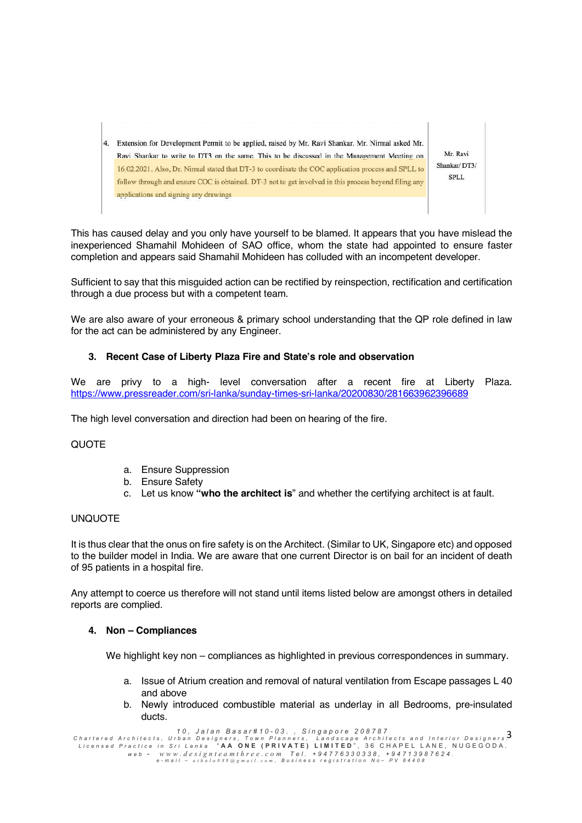4. Extension for Development Permit to be applied, raised by Mr. Ravi Shankar. Mr. Nirmal asked Mr. Ravi Shankar to write to DT3 on the same. This to be discussed in the Management Meeting on Shankar/DT3/ 16.02.2021. Also, Dr. Nirmal stated that DT-3 to coordinate the COC application process and SPLL to follow through and ensure COC is obtained. DT-3 not to get involved in this process beyond filing any applications and signing any drawings

This has caused delay and you only have yourself to be blamed. It appears that you have mislead the inexperienced Shamahil Mohideen of SAO office, whom the state had appointed to ensure faster completion and appears said Shamahil Mohideen has colluded with an incompetent developer.

Mr. Ravi

**SPLL** 

Sufficient to say that this misguided action can be rectified by reinspection, rectification and certification through a due process but with a competent team.

We are also aware of your erroneous & primary school understanding that the QP role defined in law for the act can be administered by any Engineer.

## **3. Recent Case of Liberty Plaza Fire and State's role and observation**

We are privy to a high- level conversation after a recent fire at Liberty Plaza. https://www.pressreader.com/sri-lanka/sunday-times-sri-lanka/20200830/281663962396689

The high level conversation and direction had been on hearing of the fire.

## QUOTE

- a. Ensure Suppression
- b. Ensure Safety
- c. Let us know **"who the architect is**" and whether the certifying architect is at fault.

#### UNQUOTE

It is thus clear that the onus on fire safety is on the Architect. (Similar to UK, Singapore etc) and opposed to the builder model in India. We are aware that one current Director is on bail for an incident of death of 95 patients in a hospital fire.

Any attempt to coerce us therefore will not stand until items listed below are amongst others in detailed reports are complied.

#### **4. Non – Compliances**

We highlight key non – compliances as highlighted in previous correspondences in summary.

- a. Issue of Atrium creation and removal of natural ventilation from Escape passages L 40 and above
- b. Newly introduced combustible material as underlay in all Bedrooms, pre-insulated ducts.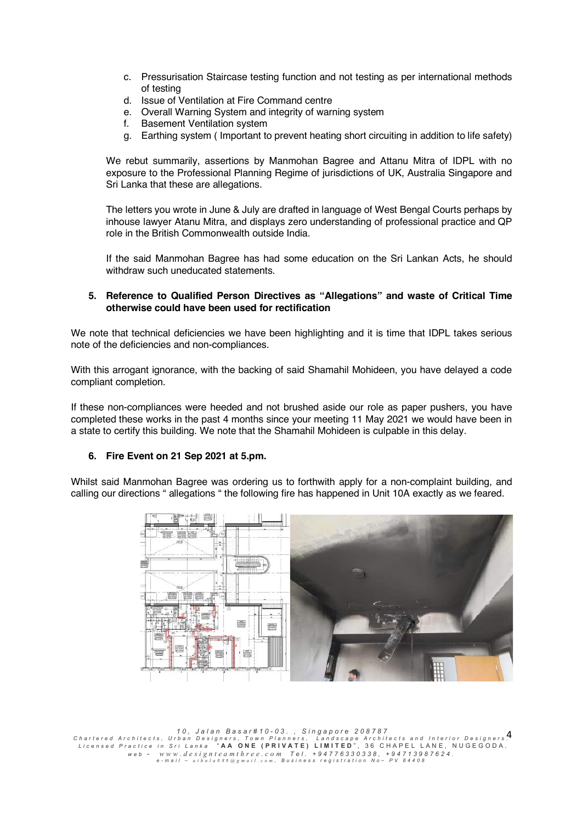- c. Pressurisation Staircase testing function and not testing as per international methods of testing
- d. Issue of Ventilation at Fire Command centre
- e. Overall Warning System and integrity of warning system
- f. Basement Ventilation system
- g. Earthing system ( Important to prevent heating short circuiting in addition to life safety)

We rebut summarily, assertions by Manmohan Bagree and Attanu Mitra of IDPL with no exposure to the Professional Planning Regime of jurisdictions of UK, Australia Singapore and Sri Lanka that these are allegations.

The letters you wrote in June & July are drafted in language of West Bengal Courts perhaps by inhouse lawyer Atanu Mitra, and displays zero understanding of professional practice and QP role in the British Commonwealth outside India.

If the said Manmohan Bagree has had some education on the Sri Lankan Acts, he should withdraw such uneducated statements.

### **5. Reference to Qualified Person Directives as "Allegations" and waste of Critical Time otherwise could have been used for rectification**

We note that technical deficiencies we have been highlighting and it is time that IDPL takes serious note of the deficiencies and non-compliances.

With this arrogant ignorance, with the backing of said Shamahil Mohideen, you have delayed a code compliant completion.

If these non-compliances were heeded and not brushed aside our role as paper pushers, you have completed these works in the past 4 months since your meeting 11 May 2021 we would have been in a state to certify this building. We note that the Shamahil Mohideen is culpable in this delay.

## **6. Fire Event on 21 Sep 2021 at 5.pm.**

Whilst said Manmohan Bagree was ordering us to forthwith apply for a non-complaint building, and calling our directions " allegations " the following fire has happened in Unit 10A exactly as we feared.

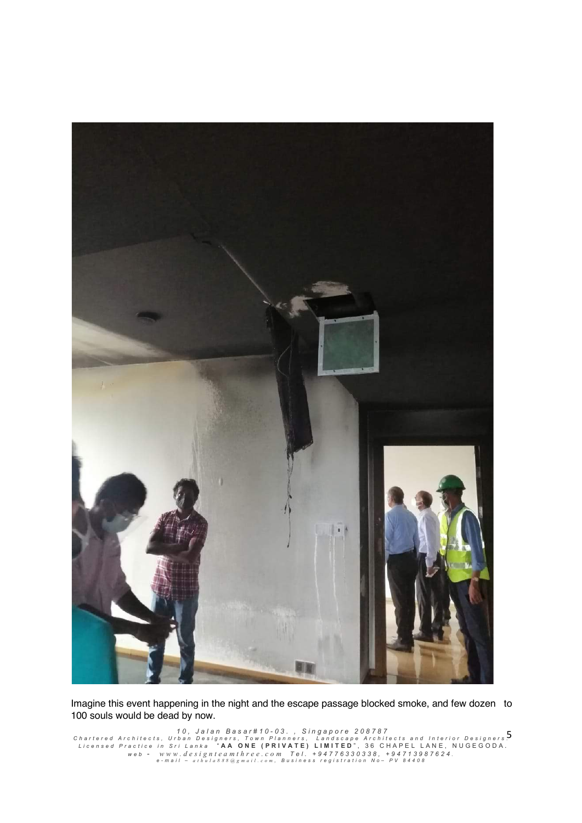

Imagine this event happening in the night and the escape passage blocked smoke, and few dozen to 100 souls would be dead by now.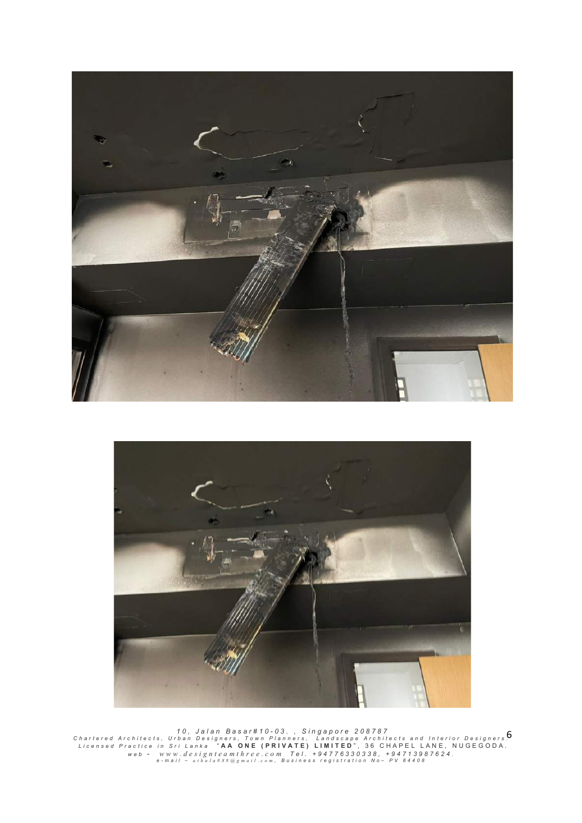

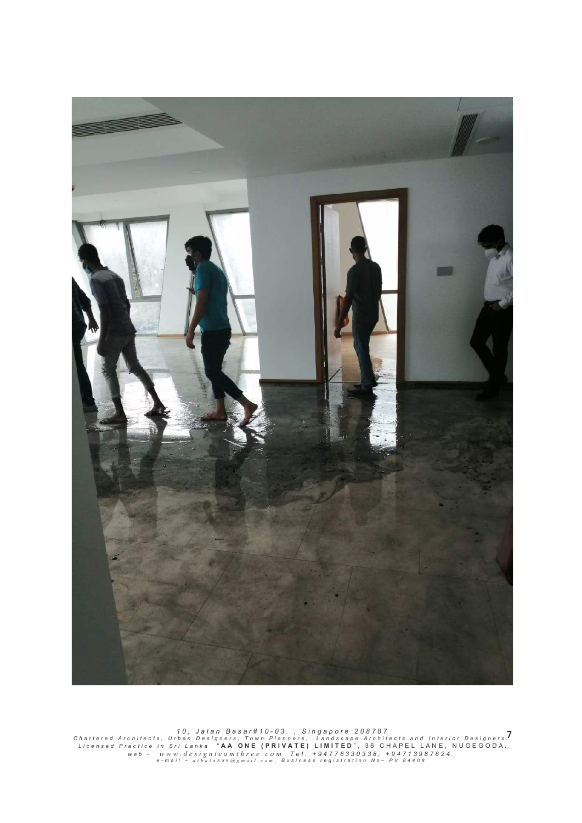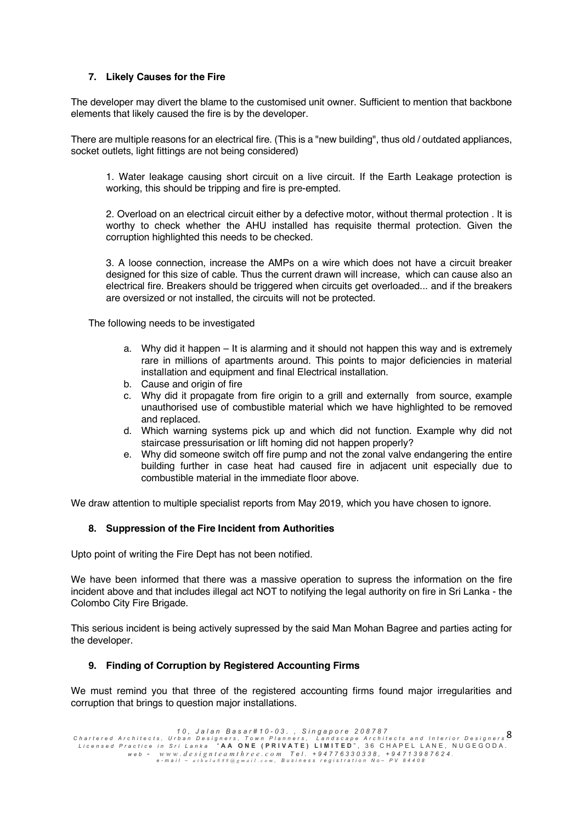## **7. Likely Causes for the Fire**

The developer may divert the blame to the customised unit owner. Sufficient to mention that backbone elements that likely caused the fire is by the developer.

There are multiple reasons for an electrical fire. (This is a "new building", thus old / outdated appliances, socket outlets, light fittings are not being considered)

1. Water leakage causing short circuit on a live circuit. If the Earth Leakage protection is working, this should be tripping and fire is pre-empted.

2. Overload on an electrical circuit either by a defective motor, without thermal protection . It is worthy to check whether the AHU installed has requisite thermal protection. Given the corruption highlighted this needs to be checked.

3. A loose connection, increase the AMPs on a wire which does not have a circuit breaker designed for this size of cable. Thus the current drawn will increase, which can cause also an electrical fire. Breakers should be triggered when circuits get overloaded... and if the breakers are oversized or not installed, the circuits will not be protected.

The following needs to be investigated

- a. Why did it happen It is alarming and it should not happen this way and is extremely rare in millions of apartments around. This points to major deficiencies in material installation and equipment and final Electrical installation.
- b. Cause and origin of fire
- c. Why did it propagate from fire origin to a grill and externally from source, example unauthorised use of combustible material which we have highlighted to be removed and replaced.
- d. Which warning systems pick up and which did not function. Example why did not staircase pressurisation or lift homing did not happen properly?
- e. Why did someone switch off fire pump and not the zonal valve endangering the entire building further in case heat had caused fire in adjacent unit especially due to combustible material in the immediate floor above.

We draw attention to multiple specialist reports from May 2019, which you have chosen to ignore.

## **8. Suppression of the Fire Incident from Authorities**

Upto point of writing the Fire Dept has not been notified.

We have been informed that there was a massive operation to supress the information on the fire incident above and that includes illegal act NOT to notifying the legal authority on fire in Sri Lanka - the Colombo City Fire Brigade.

This serious incident is being actively supressed by the said Man Mohan Bagree and parties acting for the developer.

## **9. Finding of Corruption by Registered Accounting Firms**

We must remind you that three of the registered accounting firms found major irregularities and corruption that brings to question major installations.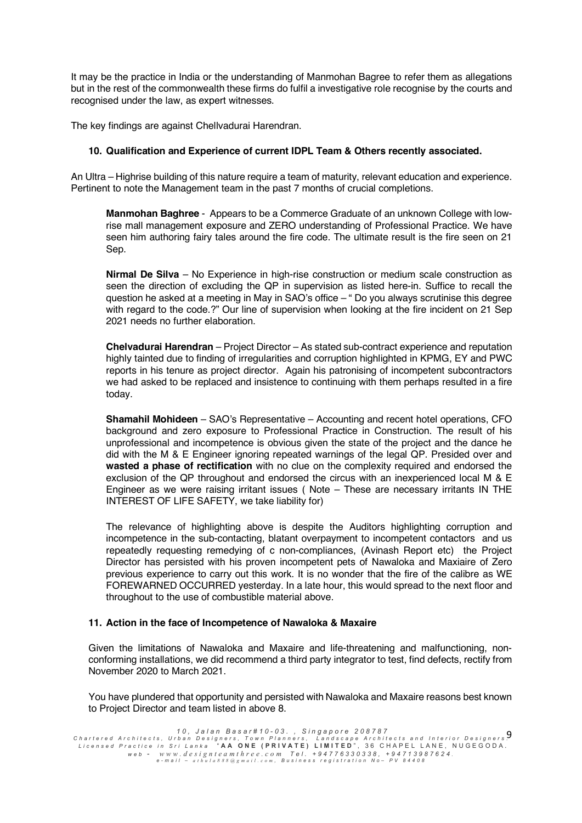It may be the practice in India or the understanding of Manmohan Bagree to refer them as allegations but in the rest of the commonwealth these firms do fulfil a investigative role recognise by the courts and recognised under the law, as expert witnesses.

The key findings are against Chellvadurai Harendran.

## **10. Qualification and Experience of current IDPL Team & Others recently associated.**

An Ultra – Highrise building of this nature require a team of maturity, relevant education and experience. Pertinent to note the Management team in the past 7 months of crucial completions.

**Manmohan Baghree** - Appears to be a Commerce Graduate of an unknown College with lowrise mall management exposure and ZERO understanding of Professional Practice. We have seen him authoring fairy tales around the fire code. The ultimate result is the fire seen on 21 Sep.

**Nirmal De Silva** – No Experience in high-rise construction or medium scale construction as seen the direction of excluding the QP in supervision as listed here-in. Suffice to recall the question he asked at a meeting in May in SAO's office – " Do you always scrutinise this degree with regard to the code.?" Our line of supervision when looking at the fire incident on 21 Sep 2021 needs no further elaboration.

**Chelvadurai Harendran** – Project Director – As stated sub-contract experience and reputation highly tainted due to finding of irregularities and corruption highlighted in KPMG, EY and PWC reports in his tenure as project director. Again his patronising of incompetent subcontractors we had asked to be replaced and insistence to continuing with them perhaps resulted in a fire today.

**Shamahil Mohideen** – SAO's Representative – Accounting and recent hotel operations, CFO background and zero exposure to Professional Practice in Construction. The result of his unprofessional and incompetence is obvious given the state of the project and the dance he did with the M & E Engineer ignoring repeated warnings of the legal QP. Presided over and **wasted a phase of rectification** with no clue on the complexity required and endorsed the exclusion of the QP throughout and endorsed the circus with an inexperienced local M & E Engineer as we were raising irritant issues ( Note – These are necessary irritants IN THE INTEREST OF LIFE SAFETY, we take liability for)

The relevance of highlighting above is despite the Auditors highlighting corruption and incompetence in the sub-contacting, blatant overpayment to incompetent contactors and us repeatedly requesting remedying of c non-compliances, (Avinash Report etc) the Project Director has persisted with his proven incompetent pets of Nawaloka and Maxiaire of Zero previous experience to carry out this work. It is no wonder that the fire of the calibre as WE FOREWARNED OCCURRED yesterday. In a late hour, this would spread to the next floor and throughout to the use of combustible material above.

#### **11. Action in the face of Incompetence of Nawaloka & Maxaire**

Given the limitations of Nawaloka and Maxaire and life-threatening and malfunctioning, nonconforming installations, we did recommend a third party integrator to test, find defects, rectify from November 2020 to March 2021.

You have plundered that opportunity and persisted with Nawaloka and Maxaire reasons best known to Project Director and team listed in above 8.

```
n 10, Jalan Basar#10-03. , Singapore 208787<br>Chartered Architects, Urban Designers, Town Planners, Landscape Architects and Interior Designers.<br>Licensed Practice in Sri Lanka "AA ONE (PRIVATE) LIMITED", 36 CHAPEL LANE, NU
                         web - www.designteamthree.com Tel. +94776330338, +94713987624 . 
e - mail – athula888@gmail.com , Business registration No – PV 84408
                                                                                                                                                                                                            9
```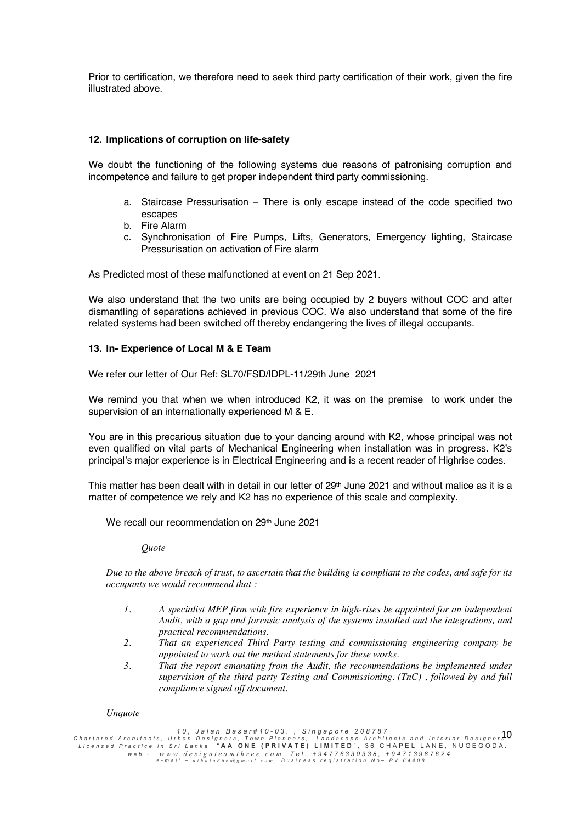Prior to certification, we therefore need to seek third party certification of their work, given the fire illustrated above.

#### **12. Implications of corruption on life-safety**

We doubt the functioning of the following systems due reasons of patronising corruption and incompetence and failure to get proper independent third party commissioning.

- a. Staircase Pressurisation There is only escape instead of the code specified two escapes
- b. Fire Alarm
- c. Synchronisation of Fire Pumps, Lifts, Generators, Emergency lighting, Staircase Pressurisation on activation of Fire alarm

As Predicted most of these malfunctioned at event on 21 Sep 2021.

We also understand that the two units are being occupied by 2 buyers without COC and after dismantling of separations achieved in previous COC. We also understand that some of the fire related systems had been switched off thereby endangering the lives of illegal occupants.

#### **13. In- Experience of Local M & E Team**

We refer our letter of Our Ref: SL70/FSD/IDPL-11/29th June 2021

We remind you that when we when introduced K2, it was on the premise to work under the supervision of an internationally experienced M & E.

You are in this precarious situation due to your dancing around with K2, whose principal was not even qualified on vital parts of Mechanical Engineering when installation was in progress. K2's principal's major experience is in Electrical Engineering and is a recent reader of Highrise codes.

This matter has been dealt with in detail in our letter of 29<sup>th</sup> June 2021 and without malice as it is a matter of competence we rely and K2 has no experience of this scale and complexity.

We recall our recommendation on 29<sup>th</sup> June 2021

*Quote*

*Due to the above breach of trust, to ascertain that the building is compliant to the codes, and safe for its occupants we would recommend that :*

- *1. A specialist MEP firm with fire experience in high-rises be appointed for an independent Audit, with a gap and forensic analysis of the systems installed and the integrations, and practical recommendations.*
- *2. That an experienced Third Party testing and commissioning engineering company be appointed to work out the method statements for these works.*
- *3. That the report emanating from the Audit, the recommendations be implemented under supervision of the third party Testing and Commissioning. (TnC) , followed by and full compliance signed off document.*

#### *Unquote*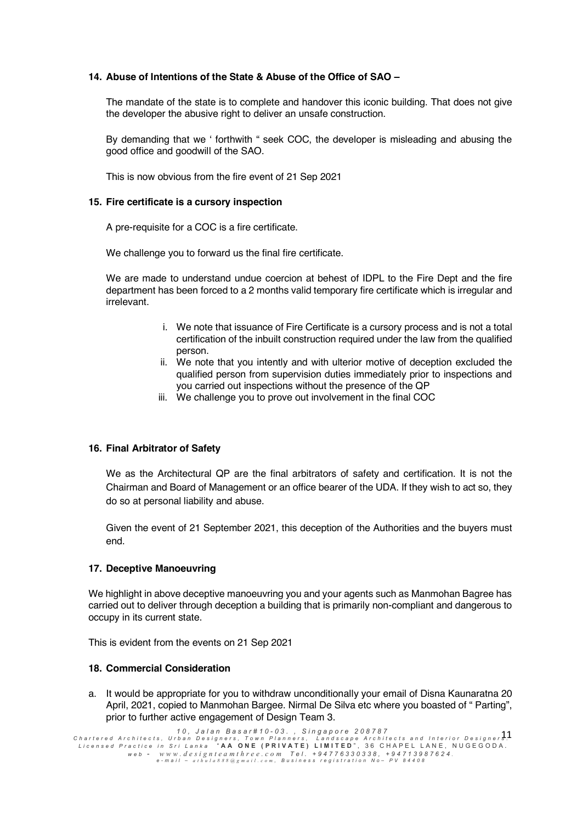#### **14. Abuse of Intentions of the State & Abuse of the Office of SAO –**

The mandate of the state is to complete and handover this iconic building. That does not give the developer the abusive right to deliver an unsafe construction.

By demanding that we ' forthwith " seek COC, the developer is misleading and abusing the good office and goodwill of the SAO.

This is now obvious from the fire event of 21 Sep 2021

#### **15. Fire certificate is a cursory inspection**

A pre-requisite for a COC is a fire certificate.

We challenge you to forward us the final fire certificate.

We are made to understand undue coercion at behest of IDPL to the Fire Dept and the fire department has been forced to a 2 months valid temporary fire certificate which is irregular and irrelevant.

- i. We note that issuance of Fire Certificate is a cursory process and is not a total certification of the inbuilt construction required under the law from the qualified person.
- ii. We note that you intently and with ulterior motive of deception excluded the qualified person from supervision duties immediately prior to inspections and you carried out inspections without the presence of the QP
- iii. We challenge you to prove out involvement in the final COC

## **16. Final Arbitrator of Safety**

We as the Architectural QP are the final arbitrators of safety and certification. It is not the Chairman and Board of Management or an office bearer of the UDA. If they wish to act so, they do so at personal liability and abuse.

Given the event of 21 September 2021, this deception of the Authorities and the buyers must end.

## **17. Deceptive Manoeuvring**

We highlight in above deceptive manoeuvring you and your agents such as Manmohan Bagree has carried out to deliver through deception a building that is primarily non-compliant and dangerous to occupy in its current state.

This is evident from the events on 21 Sep 2021

## **18. Commercial Consideration**

a. It would be appropriate for you to withdraw unconditionally your email of Disna Kaunaratna 20 April, 2021, copied to Manmohan Bargee. Nirmal De Silva etc where you boasted of " Parting", prior to further active engagement of Design Team 3.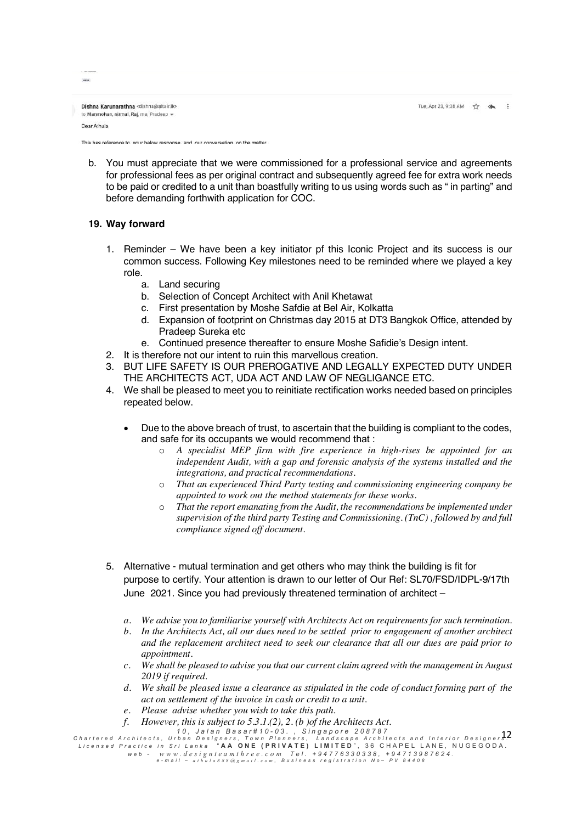Dishna Karunarathna <dishna@altair.lk> to Manmohan, nirmal, Rai, me, Pradeep -Dear Athula

This has reference to your below response and our conversation on the matte

b. You must appreciate that we were commissioned for a professional service and agreements for professional fees as per original contract and subsequently agreed fee for extra work needs to be paid or credited to a unit than boastfully writing to us using words such as " in parting" and before demanding forthwith application for COC.

# **19. Way forward**

- 1. Reminder We have been a key initiator pf this Iconic Project and its success is our common success. Following Key milestones need to be reminded where we played a key role.
	- a. Land securing
	- b. Selection of Concept Architect with Anil Khetawat
	- c. First presentation by Moshe Safdie at Bel Air, Kolkatta
	- d. Expansion of footprint on Christmas day 2015 at DT3 Bangkok Office, attended by Pradeep Sureka etc
	- e. Continued presence thereafter to ensure Moshe Safidie's Design intent.
- 2. It is therefore not our intent to ruin this marvellous creation.
- 3. BUT LIFE SAFETY IS OUR PREROGATIVE AND LEGALLY EXPECTED DUTY UNDER THE ARCHITECTS ACT, UDA ACT AND LAW OF NEGLIGANCE ETC.
- 4. We shall be pleased to meet you to reinitiate rectification works needed based on principles repeated below.
	- Due to the above breach of trust, to ascertain that the building is compliant to the codes, and safe for its occupants we would recommend that :
		- o *A specialist MEP firm with fire experience in high-rises be appointed for an independent Audit, with a gap and forensic analysis of the systems installed and the integrations, and practical recommendations.*
		- o *That an experienced Third Party testing and commissioning engineering company be appointed to work out the method statements for these works.*
		- o *That the report emanating from the Audit, the recommendations be implemented under supervision of the third party Testing and Commissioning. (TnC) , followed by and full compliance signed off document.*
- 5. Alternative mutual termination and get others who may think the building is fit for purpose to certify. Your attention is drawn to our letter of Our Ref: SL70/FSD/IDPL-9/17th June 2021. Since you had previously threatened termination of architect –
	- *a. We advise you to familiarise yourself with Architects Act on requirements for such termination.*
	- *b. In the Architects Act, all our dues need to be settled prior to engagement of another architect and the replacement architect need to seek our clearance that all our dues are paid prior to appointment.*
	- *c. We shall be pleased to advise you that our current claim agreed with the management in August 2019 if required.*
	- *d. We shall be pleased issue a clearance as stipulated in the code of conduct forming part of the act on settlement of the invoice in cash or credit to a unit.*
	- *e. Please advise whether you wish to take this path.*
	- *f. However, this is subject to 5.3.1.(2), 2. (b )of the Architects Act.*